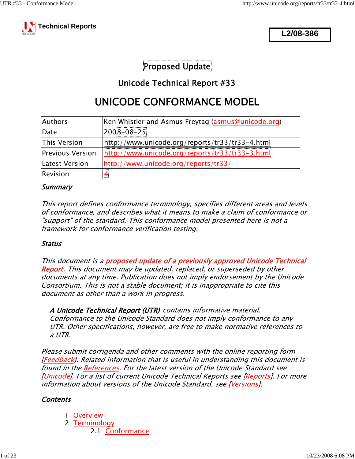

**L2/08-386**

# Proposed Update

# Unicode Technical Report #33

# UNICODE CONFORMANCE MODEL

| <b>Authors</b>          | Ken Whistler and Asmus Freytag (asmus@unicode.org)  |
|-------------------------|-----------------------------------------------------|
| Date                    | $2008 - 08 - 25$                                    |
| This Version            | $[http://www.unicode.org/reports/tr33/tr33-4.html]$ |
| <b>Previous Version</b> | http://www.unicode.org/reports/tr33/tr33-3.html     |
| Latest Version          | http://www.unicode.org/reports/tr33/                |
| Revision                |                                                     |

### **Summary**

This report defines conformance terminology, specifies different areas and levels of conformance, and describes what it means to make a claim of conformance or "support" of the standard. This conformance model presented here is not a framework for conformance verification testing.

### **Status**

This document is a proposed update of a previously approved Unicode Technical Report. This document may be updated, replaced, or superseded by other documents at any time. Publication does not imply endorsement by the Unicode Consortium. This is not a stable document; it is inappropriate to cite this document as other than a work in progress.

A Unicode Technical Report (UTR) contains informative material. Conformance to the Unicode Standard does not imply conformance to any UTR. Other specifications, however, are free to make normative references to a UTR.

Please submit corrigenda and other comments with the online reporting form [Feedback]. Related information that is useful in understanding this document is found in the References. For the latest version of the Unicode Standard see [Unicode]. For a list of current Unicode Technical Reports see [Reports]. For more information about versions of the Unicode Standard, see [Versions].

### **Contents**

- 1 Overview
- 2 Terminology
	- 2.1 Conformance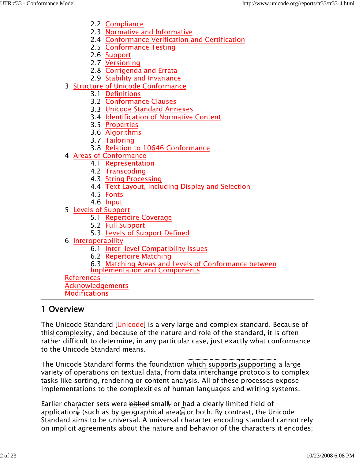- 2.2 Compliance
- 2.3 Normative and Informative
- 2.4 Conformance Verification and Certification
- 2.5 Conformance Testing
- 2.6 Support
- 2.7 Versioning
- 2.8 Corrigenda and Errata
- 2.9 Stability and Invariance
- 3 Structure of Unicode Conformance
	- 3.1 Definitions
	- 3.2 Conformance Clauses
	- 3.3 Unicode Standard Annexes
	- 3.4 Identification of Normative Content
	- 3.5 Properties
	- 3.6 Algorithms
	- 3.7 Tailoring
	- 3.8 Relation to 10646 Conformance
- 4 Areas of Conformance
	- 4.1 Representation
	- 4.2 Transcoding
	- 4.3 String Processing
	- 4.4 Text Layout, including Display and Selection
	- 4.5 Fonts
	- 4.6 Input
- 5 Levels of Support
	- 5.1 Repertoire Coverage
	- 5.2 Full Support
	- 5.3 Levels of Support Defined
- 6 Interoperability
	- 6.1 Inter-level Compatibility Issues
	- 6.2 Repertoire Matching
	- 6.3 Matching Areas and Levels of Conformance between Implementation and Components
	-
- References
- Acknowledgements Modifications

# 1 Overview

The Unicode Standard [Unicode] is a very large and complex standard. Because of this complexity, and because of the nature and role of the standard, it is often rather difficult to determine, in any particular case, just exactly what conformance to the Unicode Standard means.

The Unicode Standard forms the foundation which supports supporting a large variety of operations on textual data, from data interchange protocols to complex tasks like sorting, rendering or content analysis. All of these processes expose implementations to the complexities of human languages and writing systems.

Earlier character sets were either small, or had a clearly limited field of application, (such as by geographical area), or both. By contrast, the Unicode Standard aims to be universal. A universal character encoding standard cannot rely on implicit agreements about the nature and behavior of the characters it encodes;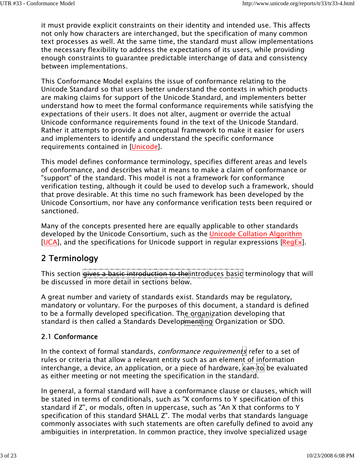it must provide explicit constraints on their identity and intended use. This affects not only how characters are interchanged, but the specification of many common text processes as well. At the same time, the standard must allow implementations the necessary flexibility to address the expectations of its users, while providing enough constraints to guarantee predictable interchange of data and consistency between implementations.

This Conformance Model explains the issue of conformance relating to the Unicode Standard so that users better understand the contexts in which products are making claims for support of the Unicode Standard, and implementers better understand how to meet the formal conformance requirements while satisfying the expectations of their users. It does not alter, augment or override the actual Unicode conformance requirements found in the text of the Unicode Standard. Rather it attempts to provide a conceptual framework to make it easier for users and implementers to identify and understand the specific conformance requirements contained in [Unicode].

This model defines conformance terminology, specifies different areas and levels of conformance, and describes what it means to make a claim of conformance or "support" of the standard. This model is not a framework for conformance verification testing, although it could be used to develop such a framework, should that prove desirable. At this time no such framework has been developed by the Unicode Consortium, nor have any conformance verification tests been required or sanctioned.

Many of the concepts presented here are equally applicable to other standards developed by the Unicode Consortium, such as the Unicode Collation Algorithm [UCA], and the specifications for Unicode support in regular expressions [RegEx].

# 2 Terminology

This section gives a basic introduction to the introduces basic terminology that will be discussed in more detail in sections below.

A great number and variety of standards exist. Standards may be regulatory, mandatory or voluntary. For the purposes of this document, a standard is defined to be a formally developed specification. The organization developing that standard is then called a Standards Developmenting Organization or SDO.

### 2.1 Conformance

In the context of formal standards, *conformance requirements* refer to a set of rules or criteria that allow a relevant entity such as an element of information interchange, a device, an application, or a piece of hardware, can to be evaluated as either meeting or not meeting the specification in the standard.

In general, a formal standard will have a conformance clause or clauses, which will be stated in terms of conditionals, such as "X conforms to Y specification of this standard if Z", or modals, often in uppercase, such as "An X that conforms to Y specification of this standard SHALL Z". The modal verbs that standards language commonly associates with such statements are often carefully defined to avoid any ambiguities in interpretation. In common practice, they involve specialized usage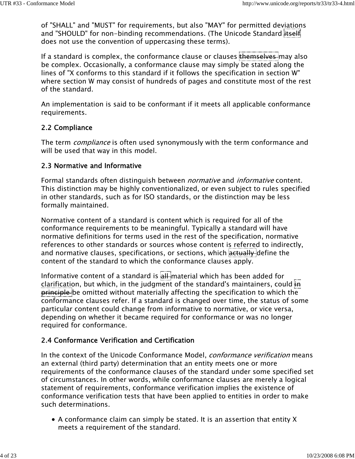of "SHALL" and "MUST" for requirements, but also "MAY" for permitted deviations and "SHOULD" for non-binding recommendations. (The Unicode Standard itself does not use the convention of uppercasing these terms).

If a standard is complex, the conformance clause or clauses themselves may also be complex. Occasionally, a conformance clause may simply be stated along the lines of "X conforms to this standard if it follows the specification in section W" where section W may consist of hundreds of pages and constitute most of the rest of the standard.

An implementation is said to be conformant if it meets all applicable conformance requirements.

### 2.2 Compliance

The term *compliance* is often used synonymously with the term conformance and will be used that way in this model.

#### 2.3 Normative and Informative

Formal standards often distinguish between *normative* and *informative* content. This distinction may be highly conventionalized, or even subject to rules specified in other standards, such as for ISO standards, or the distinction may be less formally maintained.

Normative content of a standard is content which is required for all of the conformance requirements to be meaningful. Typically a standard will have normative definitions for terms used in the rest of the specification, normative references to other standards or sources whose content is referred to indirectly, and normative clauses, specifications, or sections, which actually define the content of the standard to which the conformance clauses apply.

Informative content of a standard is all material which has been added for clarification, but which, in the judgment of the standard's maintainers, could in principle be omitted without materially affecting the specification to which the conformance clauses refer. If a standard is changed over time, the status of some particular content could change from informative to normative, or vice versa, depending on whether it became required for conformance or was no longer required for conformance.

### 2.4 Conformance Verification and Certification

In the context of the Unicode Conformance Model, *conformance verification* means an external (third party) determination that an entity meets one or more requirements of the conformance clauses of the standard under some specified set of circumstances. In other words, while conformance clauses are merely a logical statement of requirements, conformance verification implies the existence of conformance verification tests that have been applied to entities in order to make such determinations.

A conformance claim can simply be stated. It is an assertion that entity X meets a requirement of the standard.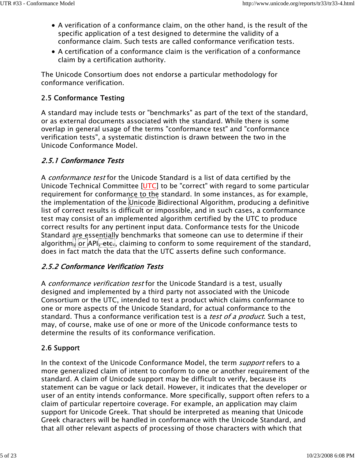- A verification of a conformance claim, on the other hand, is the result of the specific application of a test designed to determine the validity of a conformance claim. Such tests are called conformance verification tests.
- A certification of a conformance claim is the verification of a conformance claim by a certification authority.

The Unicode Consortium does not endorse a particular methodology for conformance verification.

### 2.5 Conformance Testing

A standard may include tests or "benchmarks" as part of the text of the standard, or as external documents associated with the standard. While there is some overlap in general usage of the terms "conformance test" and "conformance verification tests", a systematic distinction is drawn between the two in the Unicode Conformance Model.

### 2.5.1 Conformance Tests

A *conformance test* for the Unicode Standard is a list of data certified by the Unicode Technical Committee [UTC] to be "correct" with regard to some particular requirement for conformance to the standard. In some instances, as for example, the implementation of the Unicode Bidirectional Algorithm, producing a definitive list of correct results is difficult or impossible, and in such cases, a conformance test may consist of an implemented algorithm certified by the UTC to produce correct results for any pertinent input data. Conformance tests for the Unicode Standard are essentially benchmarks that someone can use to determine if their algorithm, or API,  $etc.$ , claiming to conform to some requirement of the standard, does in fact match the data that the UTC asserts define such conformance.

### 2.5.2 Conformance Verification Tests

A *conformance verification test* for the Unicode Standard is a test, usually designed and implemented by a third party not associated with the Unicode Consortium or the UTC, intended to test a product which claims conformance to one or more aspects of the Unicode Standard, for actual conformance to the standard. Thus a conformance verification test is a *test of a product*. Such a test, may, of course, make use of one or more of the Unicode conformance tests to determine the results of its conformance verification.

### 2.6 Support

In the context of the Unicode Conformance Model, the term *support* refers to a more generalized claim of intent to conform to one or another requirement of the standard. A claim of Unicode support may be difficult to verify, because its statement can be vague or lack detail. However, it indicates that the developer or user of an entity intends conformance. More specifically, support often refers to a claim of particular repertoire coverage. For example, an application may claim support for Unicode Greek. That should be interpreted as meaning that Unicode Greek characters will be handled in conformance with the Unicode Standard, and that all other relevant aspects of processing of those characters with which that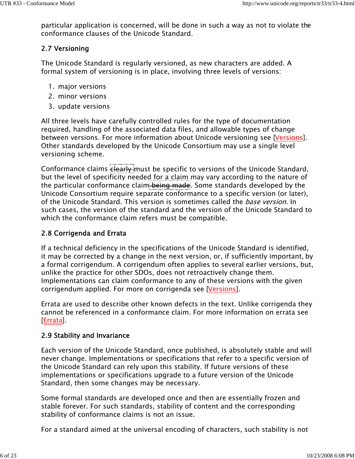particular application is concerned, will be done in such a way as not to violate the conformance clauses of the Unicode Standard.

### 2.7 Versioning

The Unicode Standard is regularly versioned, as new characters are added. A formal system of versioning is in place, involving three levels of versions:

- 1. major versions
- 2. minor versions
- 3. update versions

All three levels have carefully controlled rules for the type of documentation required, handling of the associated data files, and allowable types of change between versions. For more information about Unicode versioning see [Versions]. Other standards developed by the Unicode Consortium may use a single level versioning scheme.

Conformance claims clearly must be specific to versions of the Unicode Standard, but the level of specificity needed for a claim may vary according to the nature of the particular conformance claim being made. Some standards developed by the Unicode Consortium require separate conformance to a specific version (or later), of the Unicode Standard. This version is sometimes called the base version. In such cases, the version of the standard and the version of the Unicode Standard to which the conformance claim refers must be compatible.

### 2.8 Corrigenda and Errata

If a technical deficiency in the specifications of the Unicode Standard is identified, it may be corrected by a change in the next version, or, if sufficiently important, by a formal corrigendum. A corrigendum often applies to several earlier versions, but, unlike the practice for other SDOs, does not retroactively change them. Implementations can claim conformance to any of these versions with the given corrigendum applied. For more on corrigenda see [Versions].

Errata are used to describe other known defects in the text. Unlike corrigenda they cannot be referenced in a conformance claim. For more information on errata see [Errata].

### 2.9 Stability and Invariance

Each version of the Unicode Standard, once published, is absolutely stable and will never change. Implementations or specifications that refer to a specific version of the Unicode Standard can rely upon this stability. If future versions of these implementations or specifications upgrade to a future version of the Unicode Standard, then some changes may be necessary.

Some formal standards are developed once and then are essentially frozen and stable forever. For such standards, stability of content and the corresponding stability of conformance claims is not an issue.

For a standard aimed at the universal encoding of characters, such stability is not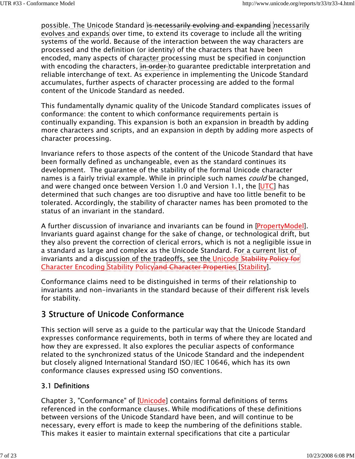possible. The Unicode Standard is necessarily evolving and expanding necessarily evolves and expands over time, to extend its coverage to include all the writing systems of the world. Because of the interaction between the way characters are processed and the definition (or identity) of the characters that have been encoded, many aspects of character processing must be specified in conjunction with encoding the characters, in order to guarantee predictable interpretation and reliable interchange of text. As experience in implementing the Unicode Standard accumulates, further aspects of character processing are added to the formal content of the Unicode Standard as needed.

This fundamentally dynamic quality of the Unicode Standard complicates issues of conformance: the content to which conformance requirements pertain is continually expanding. This expansion is both an expansion in breadth by adding more characters and scripts, and an expansion in depth by adding more aspects of character processing.

Invariance refers to those aspects of the content of the Unicode Standard that have been formally defined as unchangeable, even as the standard continues its development. The guarantee of the stability of the formal Unicode character names is a fairly trivial example. While in principle such names *could* be changed, and were changed once between Version 1.0 and Version 1.1, the [UTC] has determined that such changes are too disruptive and have too little benefit to be tolerated. Accordingly, the stability of character names has been promoted to the status of an invariant in the standard.

A further discussion of invariance and invariants can be found in [PropertyModel]. Invariants guard against change for the sake of change, or technological drift, but they also prevent the correction of clerical errors, which is not a negligible issue in a standard as large and complex as the Unicode Standard. For a current list of invariants and a discussion of the tradeoffs, see the Unicode Stability Policy for Character Encoding Stability Policyand Character Properties [Stability].

Conformance claims need to be distinguished in terms of their relationship to invariants and non-invariants in the standard because of their different risk levels for stability.

# 3 Structure of Unicode Conformance

This section will serve as a guide to the particular way that the Unicode Standard expresses conformance requirements, both in terms of where they are located and how they are expressed. It also explores the peculiar aspects of conformance related to the synchronized status of the Unicode Standard and the independent but closely aligned International Standard ISO/IEC 10646, which has its own conformance clauses expressed using ISO conventions.

### 3.1 Definitions

Chapter 3, "Conformance" of [Unicode] contains formal definitions of terms referenced in the conformance clauses. While modifications of these definitions between versions of the Unicode Standard have been, and will continue to be necessary, every effort is made to keep the numbering of the definitions stable. This makes it easier to maintain external specifications that cite a particular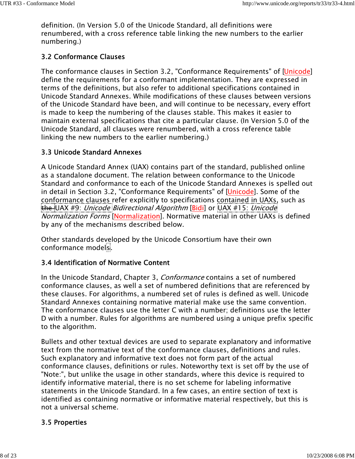definition. (In Version 5.0 of the Unicode Standard, all definitions were renumbered, with a cross reference table linking the new numbers to the earlier numbering.)

### 3.2 Conformance Clauses

The conformance clauses in Section 3.2, "Conformance Requirements" of [Unicode] define the requirements for a conformant implementation. They are expressed in terms of the definitions, but also refer to additional specifications contained in Unicode Standard Annexes. While modifications of these clauses between versions of the Unicode Standard have been, and will continue to be necessary, every effort is made to keep the numbering of the clauses stable. This makes it easier to maintain external specifications that cite a particular clause. (In Version 5.0 of the Unicode Standard, all clauses were renumbered, with a cross reference table linking the new numbers to the earlier numbering.)

### 3.3 Unicode Standard Annexes

A Unicode Standard Annex (UAX) contains part of the standard, published online as a standalone document. The relation between conformance to the Unicode Standard and conformance to each of the Unicode Standard Annexes is spelled out in detail in Section 3.2, "Conformance Requirements" of [Unicode]. Some of the conformance clauses refer explicitly to specifications contained in UAXs, such as the UAX #9: Unicode Bidirectional Algorithm [Bidi] or UAX #15: Unicode Normalization Forms [Normalization]. Normative material in other UAXs is defined by any of the mechanisms described below.

Other standards developed by the Unicode Consortium have their own conformance models.

### 3.4 Identification of Normative Content

In the Unicode Standard, Chapter 3, *Conformance* contains a set of numbered conformance clauses, as well a set of numbered definitions that are referenced by these clauses. For algorithms, a numbered set of rules is defined as well. Unicode Standard Annexes containing normative material make use the same convention. The conformance clauses use the letter C with a number; definitions use the letter D with a number. Rules for algorithms are numbered using a unique prefix specific to the algorithm.

Bullets and other textual devices are used to separate explanatory and informative text from the normative text of the conformance clauses, definitions and rules. Such explanatory and informative text does not form part of the actual conformance clauses, definitions or rules. Noteworthy text is set off by the use of "Note:", but unlike the usage in other standards, where this device is required to identify informative material, there is no set scheme for labeling informative statements in the Unicode Standard. In a few cases, an entire section of text is identified as containing normative or informative material respectively, but this is not a universal scheme.

### 3.5 Properties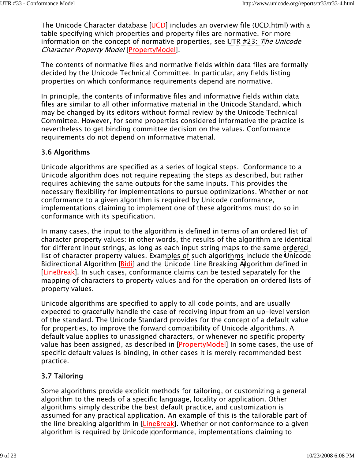The Unicode Character database [UCD] includes an overview file (UCD.html) with a table specifying which properties and property files are normative. For more information on the concept of normative properties, see UTR #23: The Unicode Character Property Model [PropertyModel].

The contents of normative files and normative fields within data files are formally decided by the Unicode Technical Committee. In particular, any fields listing properties on which conformance requirements depend are normative.

In principle, the contents of informative files and informative fields within data files are similar to all other informative material in the Unicode Standard, which may be changed by its editors without formal review by the Unicode Technical Committee. However, for some properties considered informative the practice is nevertheless to get binding committee decision on the values. Conformance requirements do not depend on informative material.

### 3.6 Algorithms

Unicode algorithms are specified as a series of logical steps. Conformance to a Unicode algorithm does not require repeating the steps as described, but rather requires achieving the same outputs for the same inputs. This provides the necessary flexibility for implementations to pursue optimizations. Whether or not conformance to a given algorithm is required by Unicode conformance, implementations claiming to implement one of these algorithms must do so in conformance with its specification.

In many cases, the input to the algorithm is defined in terms of an ordered list of character property values: in other words, the results of the algorithm are identical for different input strings, as long as each input string maps to the same ordered list of character property values. Examples of such algorithms include the Unicode Bidirectional Algorithm [Bidi] and the Unicode Line Breaking Algorithm defined in [LineBreak]. In such cases, conformance claims can be tested separately for the mapping of characters to property values and for the operation on ordered lists of property values.

Unicode algorithms are specified to apply to all code points, and are usually expected to gracefully handle the case of receiving input from an up-level version of the standard. The Unicode Standard provides for the concept of a default value for properties, to improve the forward compatibility of Unicode algorithms. A default value applies to unassigned characters, or whenever no specific property value has been assigned, as described in [PropertyModel] In some cases, the use of specific default values is binding, in other cases it is merely recommended best practice.

### 3.7 Tailoring

Some algorithms provide explicit methods for tailoring, or customizing a general algorithm to the needs of a specific language, locality or application. Other algorithms simply describe the best default practice, and customization is assumed for any practical application. An example of this is the tailorable part of the line breaking algorithm in [LineBreak]. Whether or not conformance to a given algorithm is required by Unicode conformance, implementations claiming to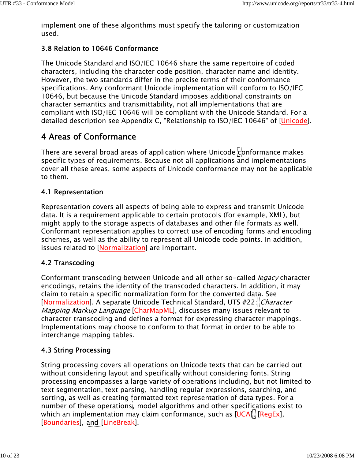implement one of these algorithms must specify the tailoring or customization used.

### 3.8 Relation to 10646 Conformance

The Unicode Standard and ISO/IEC 10646 share the same repertoire of coded characters, including the character code position, character name and identity. However, the two standards differ in the precise terms of their conformance specifications. Any conformant Unicode implementation will conform to ISO/IEC 10646, but because the Unicode Standard imposes additional constraints on character semantics and transmittability, not all implementations that are compliant with ISO/IEC 10646 will be compliant with the Unicode Standard. For a detailed description see Appendix C, "Relationship to ISO/IEC 10646" of [Unicode].

# 4 Areas of Conformance

There are several broad areas of application where Unicode conformance makes specific types of requirements. Because not all applications and implementations cover all these areas, some aspects of Unicode conformance may not be applicable to them.

### 4.1 Representation

Representation covers all aspects of being able to express and transmit Unicode data. It is a requirement applicable to certain protocols (for example, XML), but might apply to the storage aspects of databases and other file formats as well. Conformant representation applies to correct use of encoding forms and encoding schemes, as well as the ability to represent all Unicode code points. In addition, issues related to [Normalization] are important.

### 4.2 Transcoding

Conformant transcoding between Unicode and all other so-called *legacy* character encodings, retains the identity of the transcoded characters. In addition, it may claim to retain a specific normalization form for the converted data. See [Normalization]. A separate Unicode Technical Standard, UTS #22: *Character* Mapping Markup Language [CharMapML], discusses many issues relevant to character transcoding and defines a format for expressing character mappings. Implementations may choose to conform to that format in order to be able to interchange mapping tables.

### 4.3 String Processing

String processing covers all operations on Unicode texts that can be carried out without considering layout and specifically without considering fonts. String processing encompasses a large variety of operations including, but not limited to text segmentation, text parsing, handling regular expressions, searching, and sorting, as well as creating formatted text representation of data types. For a number of these operations, model algorithms and other specifications exist to which an implementation may claim conformance, such as  $[UCA]$ ,  $[RegEx]$ , [Boundaries], and [LineBreak].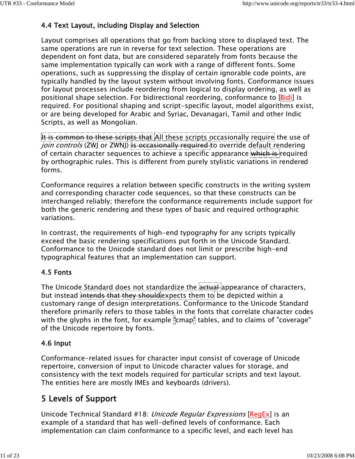### 4.4 Text Layout, including Display and Selection

Layout comprises all operations that go from backing store to displayed text. The same operations are run in reverse for text selection. These operations are dependent on font data, but are considered separately from fonts because the same implementation typically can work with a range of different fonts. Some operations, such as suppressing the display of certain ignorable code points, are typically handled by the layout system without involving fonts. Conformance issues for layout processes include reordering from logical to display ordering, as well as positional shape selection. For bidirectional reordering, conformance to [Bidi] is required. For positional shaping and script-specific layout, model algorithms exist, or are being developed for Arabic and Syriac, Devanagari, Tamil and other Indic Scripts, as well as Mongolian.

It is common to these scripts that All these scripts occasionally require the use of join controls (ZWJ or ZWNJ) is occasionally required to override default rendering of certain character sequences to achieve a specific appearance which is required by orthographic rules. This is different from purely stylistic variations in rendered forms.

Conformance requires a relation between specific constructs in the writing system and corresponding character code sequences, so that these constructs can be interchanged reliably; therefore the conformance requirements include support for both the generic rendering and these types of basic and required orthographic variations.

In contrast, the requirements of high-end typography for any scripts typically exceed the basic rendering specifications put forth in the Unicode Standard. Conformance to the Unicode standard does not limit or prescribe high-end typographical features that an implementation can support.

### 4.5 Fonts

The Unicode Standard does not standardize the actual appearance of characters, but instead intends that they shouldexpects them to be depicted within a customary range of design interpretations. Conformance to the Unicode Standard therefore primarily refers to those tables in the fonts that correlate character codes with the glyphs in the font, for example  $\frac{1}{2}$ cmap<sup>"</sup> tables, and to claims of "coverage" of the Unicode repertoire by fonts.

### 4.6 Input

Conformance-related issues for character input consist of coverage of Unicode repertoire, conversion of input to Unicode character values for storage, and consistency with the text models required for particular scripts and text layout. The entities here are mostly IMEs and keyboards (drivers).

# 5 Levels of Support

Unicode Technical Standard #18: *Unicode Regular Expressions* [RegEx] is an example of a standard that has well-defined levels of conformance. Each implementation can claim conformance to a specific level, and each level has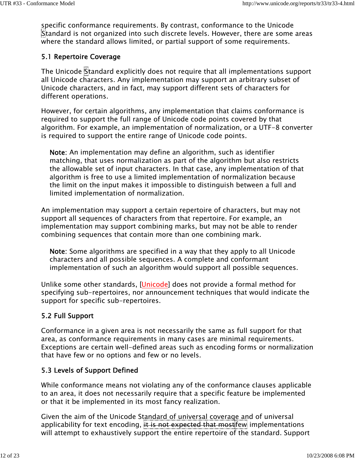specific conformance requirements. By contrast, conformance to the Unicode Standard is not organized into such discrete levels. However, there are some areas where the standard allows limited, or partial support of some requirements.

### 5.1 Repertoire Coverage

The Unicode Standard explicitly does not require that all implementations support all Unicode characters. Any implementation may support an arbitrary subset of Unicode characters, and in fact, may support different sets of characters for different operations.

However, for certain algorithms, any implementation that claims conformance is required to support the full range of Unicode code points covered by that algorithm. For example, an implementation of normalization, or a UTF-8 converter is required to support the entire range of Unicode code points.

Note: An implementation may define an algorithm, such as identifier matching, that uses normalization as part of the algorithm but also restricts the allowable set of input characters. In that case, any implementation of that algorithm is free to use a limited implementation of normalization because the limit on the input makes it impossible to distinguish between a full and limited implementation of normalization.

An implementation may support a certain repertoire of characters, but may not support all sequences of characters from that repertoire. For example, an implementation may support combining marks, but may not be able to render combining sequences that contain more than one combining mark.

Note: Some algorithms are specified in a way that they apply to all Unicode characters and all possible sequences. A complete and conformant implementation of such an algorithm would support all possible sequences.

Unlike some other standards, [Unicode] does not provide a formal method for specifying sub-repertoires, nor announcement techniques that would indicate the support for specific sub-repertoires.

### 5.2 Full Support

Conformance in a given area is not necessarily the same as full support for that area, as conformance requirements in many cases are minimal requirements. Exceptions are certain well-defined areas such as encoding forms or normalization that have few or no options and few or no levels.

### 5.3 Levels of Support Defined

While conformance means not violating any of the conformance clauses applicable to an area, it does not necessarily require that a specific feature be implemented or that it be implemented in its most fancy realization.

Given the aim of the Unicode Standard of universal coverage and of universal applicability for text encoding, it is not expected that most few implementations will attempt to exhaustively support the entire repertoire of the standard. Support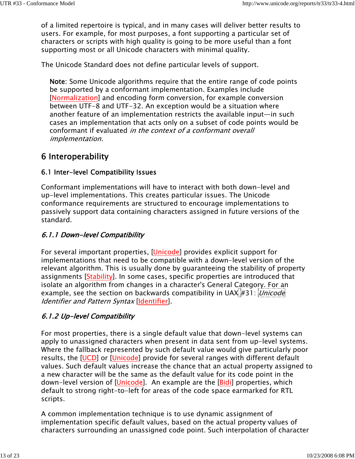of a limited repertoire is typical, and in many cases will deliver better results to users. For example, for most purposes, a font supporting a particular set of characters or scripts with high quality is going to be more useful than a font supporting most or all Unicode characters with minimal quality.

The Unicode Standard does not define particular levels of support.

Note: Some Unicode algorithms require that the entire range of code points be supported by a conformant implementation. Examples include [Normalization] and encoding form conversion, for example conversion between UTF-8 and UTF-32. An exception would be a situation where another feature of an implementation restricts the available input—in such cases an implementation that acts only on a subset of code points would be conformant if evaluated in the context of a conformant overall implementation.

# 6 Interoperability

### 6.1 Inter-level Compatibility Issues

Conformant implementations will have to interact with both down-level and up-level implementations. This creates particular issues. The Unicode conformance requirements are structured to encourage implementations to passively support data containing characters assigned in future versions of the standard.

### 6.1.1 Down-level Compatibility

For several important properties, [Unicode] provides explicit support for implementations that need to be compatible with a down-level version of the relevant algorithm. This is usually done by guaranteeing the stability of property assignments [Stability]. In some cases, specific properties are introduced that isolate an algorithm from changes in a character's General Category. For an example, see the section on backwards compatibility in UAX #31: Unicode Identifier and Pattern Syntax [Identifier].

### 6.1.2 Up-level Compatibility

For most properties, there is a single default value that down-level systems can apply to unassigned characters when present in data sent from up-level systems. Where the fallback represented by such default value would give particularly poor results, the [UCD] or [Unicode] provide for several ranges with different default values. Such default values increase the chance that an actual property assigned to a new character will be the same as the default value for its code point in the down-level version of [Unicode]. An example are the [Bidi] properties, which default to strong right-to-left for areas of the code space earmarked for RTL scripts.

A common implementation technique is to use dynamic assignment of implementation specific default values, based on the actual property values of characters surrounding an unassigned code point. Such interpolation of character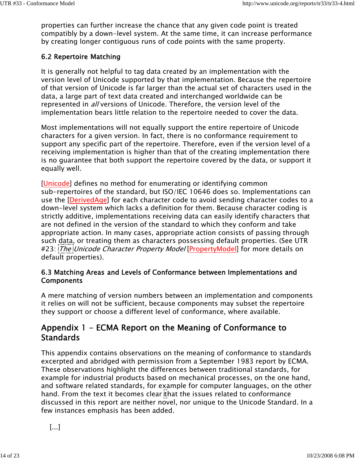properties can further increase the chance that any given code point is treated compatibly by a down-level system. At the same time, it can increase performance by creating longer contiguous runs of code points with the same property.

### 6.2 Repertoire Matching

It is generally not helpful to tag data created by an implementation with the version level of Unicode supported by that implementation. Because the repertoire of that version of Unicode is far larger than the actual set of characters used in the data, a large part of text data created and interchanged worldwide can be represented in all versions of Unicode. Therefore, the version level of the implementation bears little relation to the repertoire needed to cover the data.

Most implementations will not equally support the entire repertoire of Unicode characters for a given version. In fact, there is no conformance requirement to support any specific part of the repertoire. Therefore, even if the version level of a receiving implementation is higher than that of the creating implementation there is no guarantee that both support the repertoire covered by the data, or support it equally well.

[Unicode] defines no method for enumerating or identifying common sub-repertoires of the standard, but ISO/IEC 10646 does so. Implementations can use the [DerivedAge] for each character code to avoid sending character codes to a down-level system which lacks a definition for them. Because character coding is strictly additive, implementations receiving data can easily identify characters that are not defined in the version of the standard to which they conform and take appropriate action. In many cases, appropriate action consists of passing through such data, or treating them as characters possessing default properties. (See UTR #23: The Unicode Character Property Model [PropertyModel] for more details on default properties).

### 6.3 Matching Areas and Levels of Conformance between Implementations and **Components**

A mere matching of version numbers between an implementation and components it relies on will not be sufficient, because components may subset the repertoire they support or choose a different level of conformance, where available.

# Appendix 1 - ECMA Report on the Meaning of Conformance to **Standards**

This appendix contains observations on the meaning of conformance to standards excerpted and abridged with permission from a September 1983 report by ECMA. These observations highlight the differences between traditional standards, for example for industrial products based on mechanical processes, on the one hand, and software related standards, for example for computer languages, on the other hand. From the text it becomes clear that the issues related to conformance discussed in this report are neither novel, nor unique to the Unicode Standard. In a few instances emphasis has been added.

[...]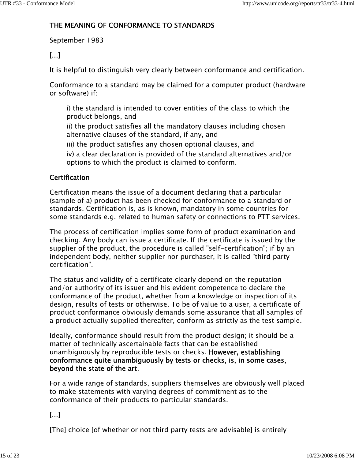### THE MEANING OF CONFORMANCE TO STANDARDS

September 1983

[...]

It is helpful to distinguish very clearly between conformance and certification.

Conformance to a standard may be claimed for a computer product (hardware or software) if:

i) the standard is intended to cover entities of the class to which the product belongs, and

ii) the product satisfies all the mandatory clauses including chosen alternative clauses of the standard, if any, and

iii) the product satisfies any chosen optional clauses, and

iv) a clear declaration is provided of the standard alternatives and/or options to which the product is claimed to conform.

### **Certification**

Certification means the issue of a document declaring that a particular (sample of a) product has been checked for conformance to a standard or standards. Certification is, as is known, mandatory in some countries for some standards e.g. related to human safety or connections to PTT services.

The process of certification implies some form of product examination and checking. Any body can issue a certificate. If the certificate is issued by the supplier of the product, the procedure is called "self-certification"; if by an independent body, neither supplier nor purchaser, it is called "third party certification".

The status and validity of a certificate clearly depend on the reputation and/or authority of its issuer and his evident competence to declare the conformance of the product, whether from a knowledge or inspection of its design, results of tests or otherwise. To be of value to a user, a certificate of product conformance obviously demands some assurance that all samples of a product actually supplied thereafter, conform as strictly as the test sample.

Ideally, conformance should result from the product design; it should be a matter of technically ascertainable facts that can be established unambiguously by reproducible tests or checks. However, establishing conformance quite unambiguously by tests or checks, is, in some cases, beyond the state of the art.

For a wide range of standards, suppliers themselves are obviously well placed to make statements with varying degrees of commitment as to the conformance of their products to particular standards.

### [...]

[The] choice [of whether or not third party tests are advisable] is entirely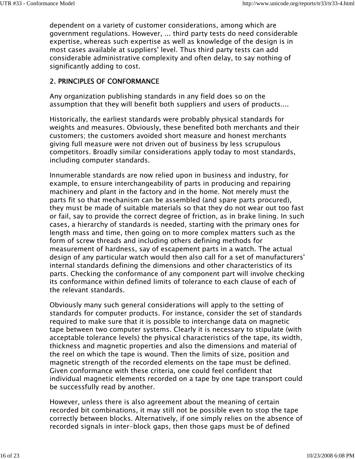dependent on a variety of customer considerations, among which are government regulations. However, ... third party tests do need considerable expertise, whereas such expertise as well as knowledge of the design is in most cases available at suppliers' level. Thus third party tests can add considerable administrative complexity and often delay, to say nothing of significantly adding to cost.

### 2. PRINCIPLES OF CONFORMANCE

Any organization publishing standards in any field does so on the assumption that they will benefit both suppliers and users of products....

Historically, the earliest standards were probably physical standards for weights and measures. Obviously, these benefited both merchants and their customers; the customers avoided short measure and honest merchants giving full measure were not driven out of business by less scrupulous competitors. Broadly similar considerations apply today to most standards, including computer standards.

Innumerable standards are now relied upon in business and industry, for example, to ensure interchangeability of parts in producing and repairing machinery and plant in the factory and in the home. Not merely must the parts fit so that mechanism can be assembled (and spare parts procured), they must be made of suitable materials so that they do not wear out too fast or fail, say to provide the correct degree of friction, as in brake lining. In such cases, a hierarchy of standards is needed, starting with the primary ones for length mass and time, then going on to more complex matters such as the form of screw threads and including others defining methods for measurement of hardness, say of escapement parts in a watch. The actual design of any particular watch would then also call for a set of manufacturers' internal standards defining the dimensions and other characteristics of its parts. Checking the conformance of any component part will involve checking its conformance within defined limits of tolerance to each clause of each of the relevant standards.

Obviously many such general considerations will apply to the setting of standards for computer products. For instance, consider the set of standards required to make sure that it is possible to interchange data on magnetic tape between two computer systems. Clearly it is necessary to stipulate (with acceptable tolerance levels) the physical characteristics of the tape, its width, thickness and magnetic properties and also the dimensions and material of the reel on which the tape is wound. Then the limits of size, position and magnetic strength of the recorded elements on the tape must be defined. Given conformance with these criteria, one could feel confident that individual magnetic elements recorded on a tape by one tape transport could be successfully read by another.

However, unless there is also agreement about the meaning of certain recorded bit combinations, it may still not be possible even to stop the tape correctly between blocks. Alternatively, if one simply relies on the absence of recorded signals in inter-block gaps, then those gaps must be of defined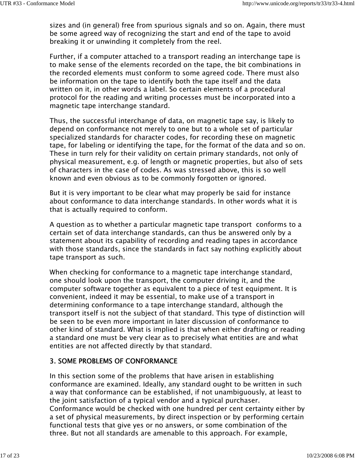sizes and (in general) free from spurious signals and so on. Again, there must be some agreed way of recognizing the start and end of the tape to avoid breaking it or unwinding it completely from the reel.

Further, if a computer attached to a transport reading an interchange tape is to make sense of the elements recorded on the tape, the bit combinations in the recorded elements must conform to some agreed code. There must also be information on the tape to identify both the tape itself and the data written on it, in other words a label. So certain elements of a procedural protocol for the reading and writing processes must be incorporated into a magnetic tape interchange standard.

Thus, the successful interchange of data, on magnetic tape say, is likely to depend on conformance not merely to one but to a whole set of particular specialized standards for character codes, for recording these on magnetic tape, for labeling or identifying the tape, for the format of the data and so on. These in turn rely for their validity on certain primary standards, not only of physical measurement, e.g. of length or magnetic properties, but also of sets of characters in the case of codes. As was stressed above, this is so well known and even obvious as to be commonly forgotten or ignored.

But it is very important to be clear what may properly be said for instance about conformance to data interchange standards. In other words what it is that is actually required to conform.

A question as to whether a particular magnetic tape transport conforms to a certain set of data interchange standards, can thus be answered only by a statement about its capability of recording and reading tapes in accordance with those standards, since the standards in fact say nothing explicitly about tape transport as such.

When checking for conformance to a magnetic tape interchange standard, one should look upon the transport, the computer driving it, and the computer software together as equivalent to a piece of test equipment. It is convenient, indeed it may be essential, to make use of a transport in determining conformance to a tape interchange standard, although the transport itself is not the subject of that standard. This type of distinction will be seen to be even more important in later discussion of conformance to other kind of standard. What is implied is that when either drafting or reading a standard one must be very clear as to precisely what entities are and what entities are not affected directly by that standard.

### 3. SOME PROBLEMS OF CONFORMANCE

In this section some of the problems that have arisen in establishing conformance are examined. Ideally, any standard ought to be written in such a way that conformance can be established, if not unambiguously, at least to the joint satisfaction of a typical vendor and a typical purchaser. Conformance would be checked with one hundred per cent certainty either by a set of physical measurements, by direct inspection or by performing certain functional tests that give yes or no answers, or some combination of the three. But not all standards are amenable to this approach. For example,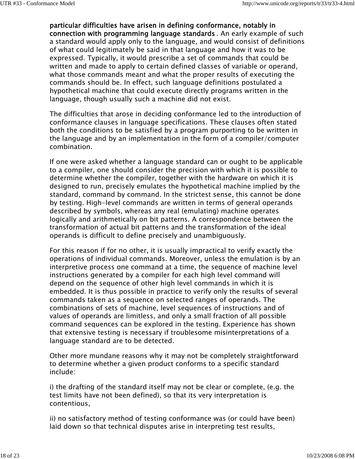particular difficulties have arisen in defining conformance, notably in connection with programming language standards . An early example of such a standard would apply only to the language, and would consist of definitions of what could legitimately be said in that language and how it was to be expressed. Typically, it would prescribe a set of commands that could be written and made to apply to certain defined classes of variable or operand, what those commands meant and what the proper results of executing the commands should be. In effect, such language definitions postulated a hypothetical machine that could execute directly programs written in the language, though usually such a machine did not exist.

The difficulties that arose in deciding conformance led to the introduction of conformance clauses in language specifications. These clauses often stated both the conditions to be satisfied by a program purporting to be written in the language and by an implementation in the form of a compiler/computer combination.

If one were asked whether a language standard can or ought to be applicable to a compiler, one should consider the precision with which it is possible to determine whether the compiler, together with the hardware on which it is designed to run, precisely emulates the hypothetical machine implied by the standard, command by command. In the strictest sense, this cannot be done by testing. High-level commands are written in terms of general operands described by symbols, whereas any real (emulating) machine operates logically and arithmetically on bit patterns. A correspondence between the transformation of actual bit patterns and the transformation of the ideal operands is difficult to define precisely and unambiguously.

For this reason if for no other, it is usually impractical to verify exactly the operations of individual commands. Moreover, unless the emulation is by an interpretive process one command at a time, the sequence of machine level instructions generated by a compiler for each high level command will depend on the sequence of other high level commands in which it is embedded. It is thus possible in practice to verify only the results of several commands taken as a sequence on selected ranges of operands. The combinations of sets of machine, level sequences of instructions and of values of operands are limitless, and only a small fraction of all possible command sequences can be explored in the testing. Experience has shown that extensive testing is necessary if troublesome misinterpretations of a language standard are to be detected.

Other more mundane reasons why it may not be completely straightforward to determine whether a given product conforms to a specific standard include:

i) the drafting of the standard itself may not be clear or complete, (e.g. the test limits have not been defined), so that its very interpretation is contentious,

ii) no satisfactory method of testing conformance was (or could have been) laid down so that technical disputes arise in interpreting test results,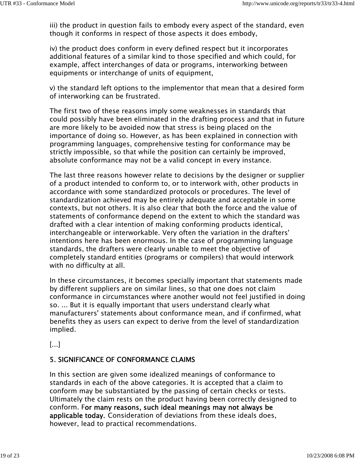iii) the product in question fails to embody every aspect of the standard, even though it conforms in respect of those aspects it does embody,

iv) the product does conform in every defined respect but it incorporates additional features of a similar kind to those specified and which could, for example, affect interchanges of data or programs, interworking between equipments or interchange of units of equipment,

v) the standard left options to the implementor that mean that a desired form of interworking can be frustrated.

The first two of these reasons imply some weaknesses in standards that could possibly have been eliminated in the drafting process and that in future are more likely to be avoided now that stress is being placed on the importance of doing so. However, as has been explained in connection with programming languages, comprehensive testing for conformance may be strictly impossible, so that while the position can certainly be improved, absolute conformance may not be a valid concept in every instance.

The last three reasons however relate to decisions by the designer or supplier of a product intended to conform to, or to interwork with, other products in accordance with some standardized protocols or procedures. The level of standardization achieved may be entirely adequate and acceptable in some contexts, but not others. It is also clear that both the force and the value of statements of conformance depend on the extent to which the standard was drafted with a clear intention of making conforming products identical, interchangeable or interworkable. Very often the variation in the drafters' intentions here has been enormous. In the case of programming language standards, the drafters were clearly unable to meet the objective of completely standard entities (programs or compilers) that would interwork with no difficulty at all.

In these circumstances, it becomes specially important that statements made by different suppliers are on similar lines, so that one does not claim conformance in circumstances where another would not feel justified in doing so. ... But it is equally important that users understand clearly what manufacturers' statements about conformance mean, and if confirmed, what benefits they as users can expect to derive from the level of standardization implied.

[...]

### 5. SIGNIFICANCE OF CONFORMANCE CLAIMS

In this section are given some idealized meanings of conformance to standards in each of the above categories. It is accepted that a claim to conform may be substantiated by the passing of certain checks or tests. Ultimately the claim rests on the product having been correctly designed to conform. For many reasons, such ideal meanings may not always be applicable today. Consideration of deviations from these ideals does, however, lead to practical recommendations.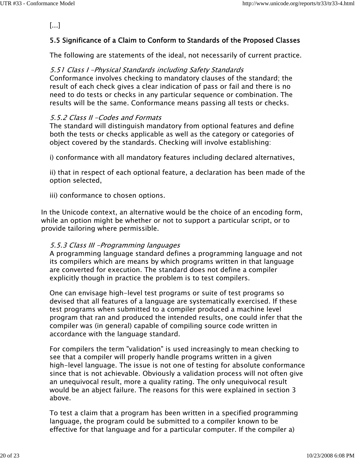### [...]

### 5.5 Significance of a Claim to Conform to Standards of the Proposed Classes

The following are statements of the ideal, not necessarily of current practice.

#### 5.51 Class I -Physical Standards including Safety Standards

Conformance involves checking to mandatory clauses of the standard; the result of each check gives a clear indication of pass or fail and there is no need to do tests or checks in any particular sequence or combination. The results will be the same. Conformance means passing all tests or checks.

#### 5.5.2 Class II -Codes and Formats

The standard will distinguish mandatory from optional features and define both the tests or checks applicable as well as the category or categories of object covered by the standards. Checking will involve establishing:

i) conformance with all mandatory features including declared alternatives,

ii) that in respect of each optional feature, a declaration has been made of the option selected,

iii) conformance to chosen options.

In the Unicode context, an alternative would be the choice of an encoding form, while an option might be whether or not to support a particular script, or to provide tailoring where permissible.

#### 5.5.3 Class III -Programming languages

A programming language standard defines a programming language and not its compilers which are means by which programs written in that language are converted for execution. The standard does not define a compiler explicitly though in practice the problem is to test compilers.

One can envisage high-level test programs or suite of test programs so devised that all features of a language are systematically exercised. If these test programs when submitted to a compiler produced a machine level program that ran and produced the intended results, one could infer that the compiler was (in general) capable of compiling source code written in accordance with the language standard.

For compilers the term "validation" is used increasingly to mean checking to see that a compiler will properly handle programs written in a given high-level language. The issue is not one of testing for absolute conformance since that is not achievable. Obviously a validation process will not often give an unequivocal result, more a quality rating. The only unequivocal result would be an abject failure. The reasons for this were explained in section 3 above.

To test a claim that a program has been written in a specified programming language, the program could be submitted to a compiler known to be effective for that language and for a particular computer. If the compiler a)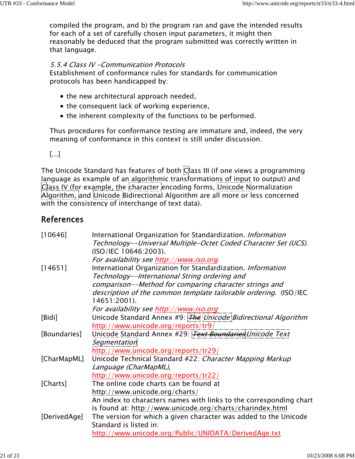compiled the program, and b) the program ran and gave the intended results for each of a set of carefully chosen input parameters, it might then reasonably be deduced that the program submitted was correctly written in that language.

#### 5.5.4 Class IV -Communication Protocols

Establishment of conformance rules for standards for communication protocols has been handicapped by:

- the new architectural approach needed,
- the consequent lack of working experience,
- the inherent complexity of the functions to be performed.

Thus procedures for conformance testing are immature and, indeed, the very meaning of conformance in this context is still under discussion.

[...]

The Unicode Standard has features of both Class III (if one views a programming language as example of an algorithmic transformations of input to output) and Class IV (for example, the character encoding forms, Unicode Normalization Algorithm, and Unicode Bidirectional Algorithm are all more or less concerned with the consistency of interchange of text data).

# References

| [10646]      | International Organization for Standardization. Information<br>Technology--Universal Multiple-Octet Coded Character Set (UCS). |
|--------------|--------------------------------------------------------------------------------------------------------------------------------|
|              | (ISO/IEC 10646:2003).                                                                                                          |
|              | For availability see http://www.iso.org                                                                                        |
| [14651]      | International Organization for Standardization. Information                                                                    |
|              | Technology--International String ordering and                                                                                  |
|              | comparison--Method for comparing character strings and                                                                         |
|              | description of the common template tailorable ordering. (ISO/IEC                                                               |
|              | 14651:2001).                                                                                                                   |
|              | For availability see http://www.iso.org                                                                                        |
| [Bidi]       | Unicode Standard Annex #9: The Unicode Bidirectional Algorithm                                                                 |
|              | http://www.unicode.org/reports/tr9/                                                                                            |
| [Boundaries] | Unicode Standard Annex #29: Text Boundaries Unicode Text                                                                       |
|              | Segmentation                                                                                                                   |
|              | http://www.unicode.org/reports/tr29/                                                                                           |
| [CharMapML]  | Unicode Technical Standard #22: Character Mapping Markup                                                                       |
|              | Language (CharMapML),                                                                                                          |
|              | http://www.unicode.org/reports/tr22/                                                                                           |
| [Charts]     | The online code charts can be found at                                                                                         |
|              | http://www.unicode.org/charts/                                                                                                 |
|              | An index to characters names with links to the corresponding chart                                                             |
|              | is found at: http://www.unicode.org/charts/charindex.html                                                                      |
| [DerivedAge] | The version for which a given character was added to the Unicode                                                               |
|              | Standard is listed in:                                                                                                         |
|              | http://www.unicode.org/Public/UNIDATA/DerivedAge.txt                                                                           |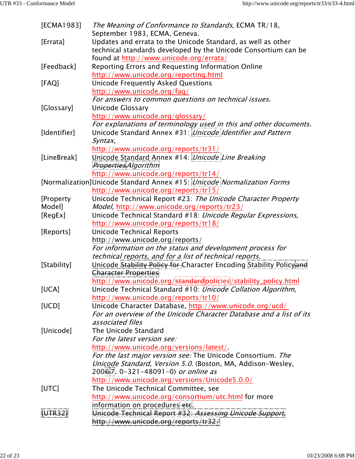| [ECMA1983]   | The Meaning of Conformance to Standards, ECMA TR/18,                          |
|--------------|-------------------------------------------------------------------------------|
|              | September 1983, ECMA, Geneva.                                                 |
| [Errata]     | Updates and errata to the Unicode Standard, as well as other                  |
|              | technical standards developed by the Unicode Consortium can be                |
|              | found at http://www.unicode.org/errata/                                       |
| [Feedback]   | Reporting Errors and Requesting Information Online                            |
|              | http://www.unicode.org/reporting.html                                         |
| [FAQ]        | <b>Unicode Frequently Asked Questions</b>                                     |
|              | http://www.unicode.org/faq/                                                   |
|              | For answers to common questions on technical issues.                          |
| [Glossary]   | Unicode Glossary                                                              |
|              | http://www.unicode.org/glossary/                                              |
|              | For explanations of terminology used in this and other documents.             |
| [Identifier] | Unicode Standard Annex #31: Unicode Identifier and Pattern                    |
|              | Syntax,                                                                       |
|              | http://www.unicode.org/reports/tr31/                                          |
| [LineBreak]  | Unicode Standard Annex #14: Unicode Line Breaking                             |
|              | Properties Algorithm                                                          |
|              | http://www.unicode.org/reports/tr14/                                          |
|              | [Normalization]Unicode Standard Annex #15: <i>Unicode Normalization Forms</i> |
|              |                                                                               |
|              | http://www.unicode.org/reports/tr15/                                          |
| [Property    | Unicode Technical Report #23: The Unicode Character Property                  |
| Model]       | Model, http://www.unicode.org/reports/tr23/                                   |
| [RegEx]      | Unicode Technical Standard #18: Unicode Regular Expressions,                  |
|              | http://www.unicode.org/reports/tr18/                                          |
| [Reports]    | <b>Unicode Technical Reports</b>                                              |
|              | http://www.unicode.org/reports/                                               |
|              | For information on the status and development process for                     |
|              | technical reports, and for a list of technical reports.                       |
| [Stability]  | Unicode Stability Policy for Character Encoding Stability Policyand           |
|              | <b>Character Properties</b>                                                   |
|              | http://www.unicode.org/standard.policies/stability_policy.html                |
| [UCA]        | Unicode Technical Standard #10: Unicode Collation Algorithm,                  |
|              | http://www.unicode.org/reports/tr10/                                          |
| [UCD]        | Unicode Character Database, http://www.unicode.org/ucd/                       |
|              | For an overview of the Unicode Character Database and a list of its           |
|              | associated files                                                              |
| [Unicode]    | The Unicode Standard                                                          |
|              | For the latest version see:                                                   |
|              | http://www.unicode.org/versions/latest/                                       |
|              | For the last major version see: The Unicode Consortium. The                   |
|              | Unicode Standard, Version 5.0. (Boston, MA, Addison-Wesley,                   |
|              | 20067. 0-321-48091-0) or online as                                            |
|              | http://www.unicode.org/versions/Unicode5.0.0/                                 |
| [UTC]        | The Unicode Technical Committee, see                                          |
|              | http://www.unicode.org/consortium/utc.html for more                           |
|              | information on procedures <del> etc</del> .                                   |
|              | Unicode Technical Report #32: Assessing Unicode Support,                      |
|              | http://www.unicode.org/reports/tr32/                                          |
|              |                                                                               |